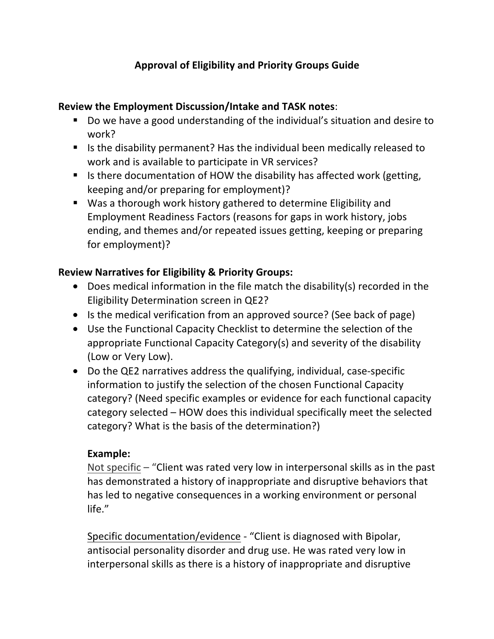# **Approval of Eligibility and Priority Groups Guide**

#### **Review the Employment Discussion/Intake and TASK notes:**

- Do we have a good understanding of the individual's situation and desire to work?
- $\blacksquare$  Is the disability permanent? Has the individual been medically released to work and is available to participate in VR services?
- If is there documentation of HOW the disability has affected work (getting, keeping and/or preparing for employment)?
- Was a thorough work history gathered to determine Eligibility and Employment Readiness Factors (reasons for gaps in work history, jobs ending, and themes and/or repeated issues getting, keeping or preparing for employment)?

### **Review Narratives for Eligibility & Priority Groups:**

- Does medical information in the file match the disability(s) recorded in the Eligibility Determination screen in QE2?
- Is the medical verification from an approved source? (See back of page)
- Use the Functional Capacity Checklist to determine the selection of the appropriate Functional Capacity Category(s) and severity of the disability (Low or Very Low).
- Do the QE2 narratives address the qualifying, individual, case-specific information to justify the selection of the chosen Functional Capacity category? (Need specific examples or evidence for each functional capacity category selected – HOW does this individual specifically meet the selected category? What is the basis of the determination?)

### Example:

Not specific – "Client was rated very low in interpersonal skills as in the past has demonstrated a history of inappropriate and disruptive behaviors that has led to negative consequences in a working environment or personal life."

Specific documentation/evidence - "Client is diagnosed with Bipolar, antisocial personality disorder and drug use. He was rated very low in interpersonal skills as there is a history of inappropriate and disruptive